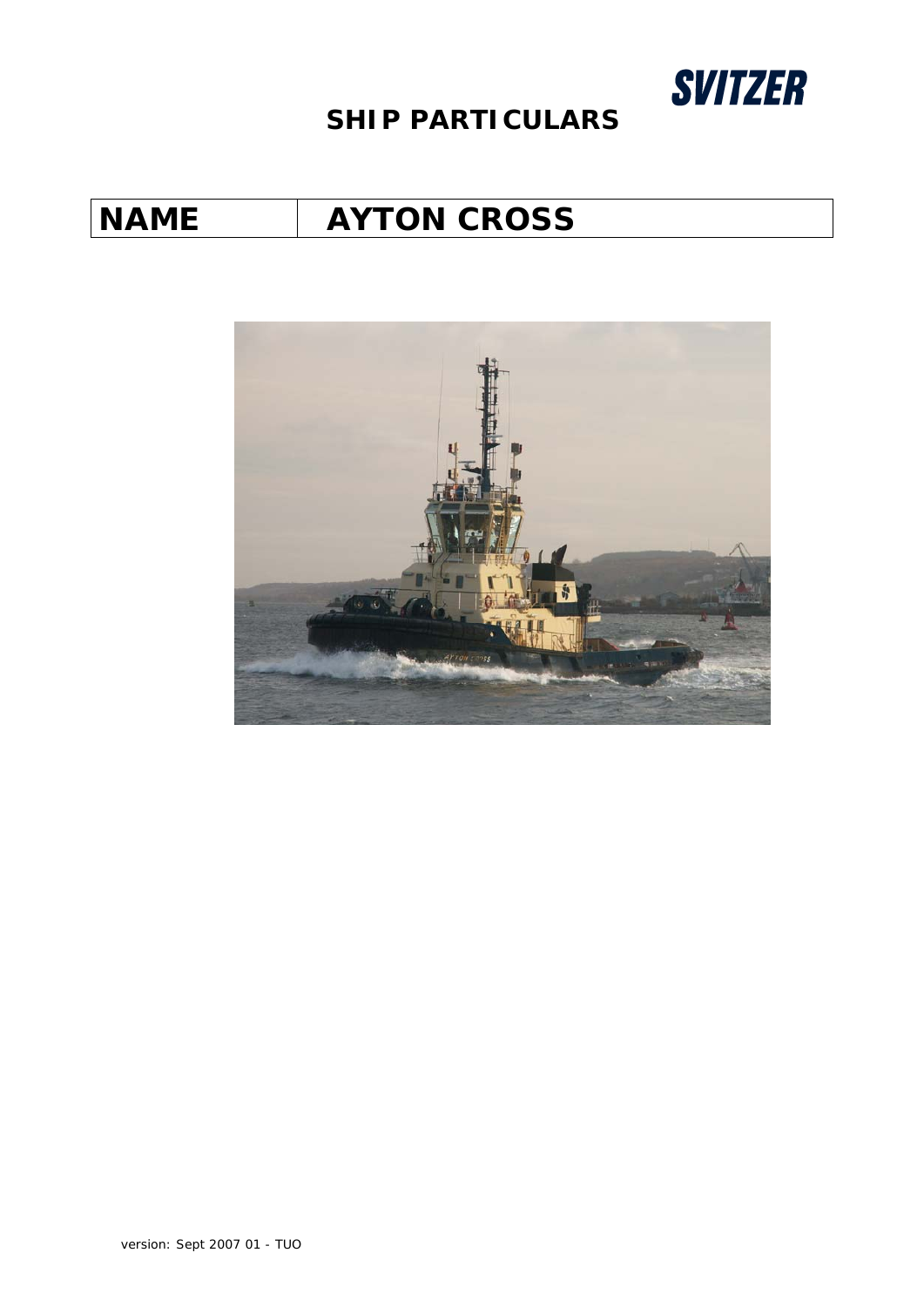

# *NAME AYTON CROSS*

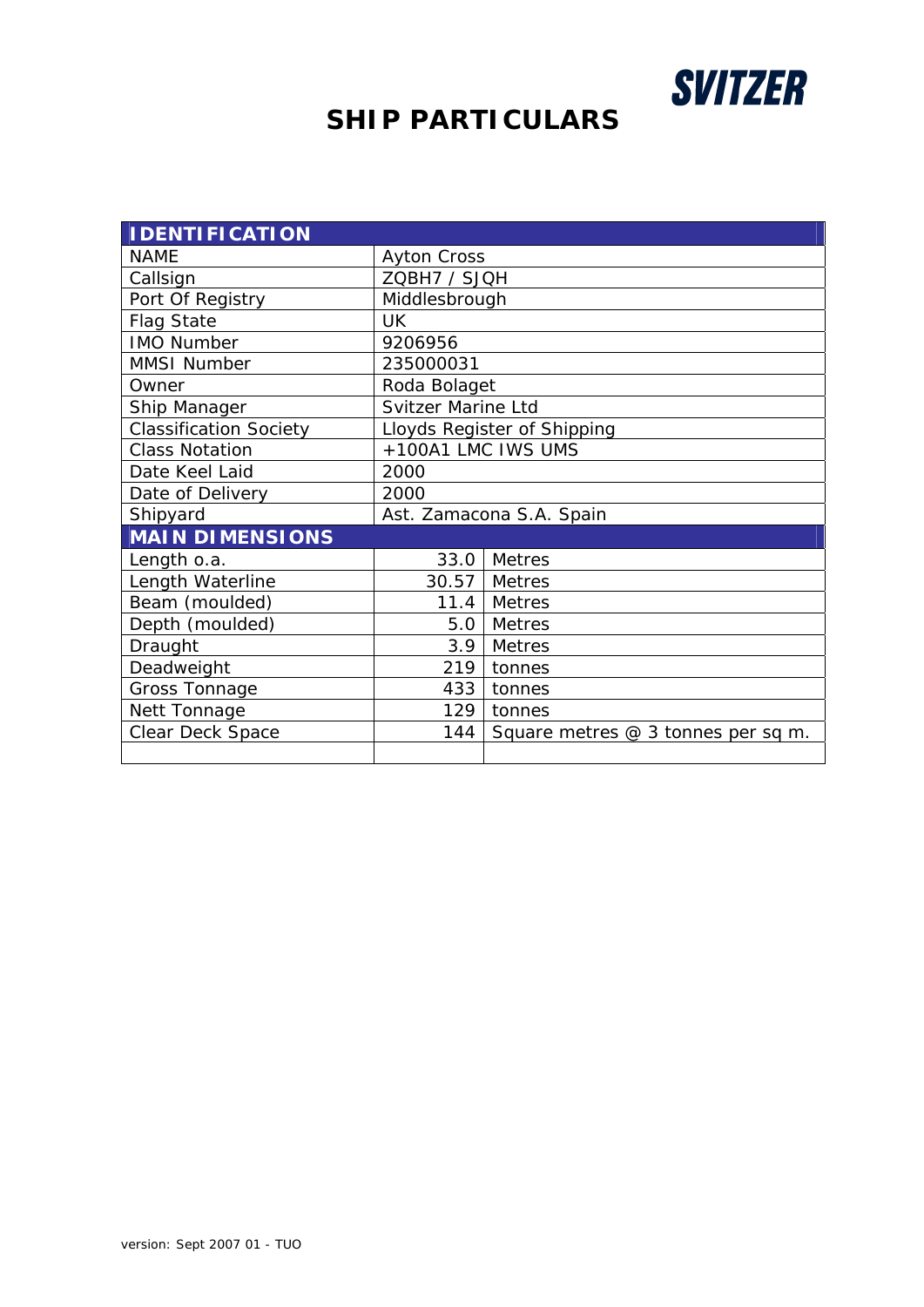

| <b>IDENTIFICATION</b>         |                             |                                     |  |  |
|-------------------------------|-----------------------------|-------------------------------------|--|--|
| <b>NAME</b>                   | <b>Ayton Cross</b>          |                                     |  |  |
| Callsign                      | ZQBH7 / SJQH                |                                     |  |  |
| Port Of Registry              | Middlesbrough               |                                     |  |  |
| <b>Flag State</b>             | <b>UK</b>                   |                                     |  |  |
| <b>IMO Number</b>             | 9206956                     |                                     |  |  |
| <b>MMSI Number</b>            | 235000031                   |                                     |  |  |
| Owner                         | Roda Bolaget                |                                     |  |  |
| Ship Manager                  | <b>Svitzer Marine Ltd</b>   |                                     |  |  |
| <b>Classification Society</b> | Lloyds Register of Shipping |                                     |  |  |
| <b>Class Notation</b>         | +100A1 LMC IWS UMS          |                                     |  |  |
| Date Keel Laid                | 2000                        |                                     |  |  |
| Date of Delivery              | 2000                        |                                     |  |  |
| Shipyard                      | Ast. Zamacona S.A. Spain    |                                     |  |  |
| <b>MAIN DIMENSIONS</b>        |                             |                                     |  |  |
| Length o.a.                   |                             | 33.0 Metres                         |  |  |
| Length Waterline              |                             | 30.57   Metres                      |  |  |
| Beam (moulded)                |                             | 11.4 Metres                         |  |  |
| Depth (moulded)               | 5.0                         | <b>Metres</b>                       |  |  |
| Draught                       | 3.9                         | <b>Metres</b>                       |  |  |
| Deadweight                    | 219                         | tonnes                              |  |  |
| Gross Tonnage                 | 433                         | tonnes                              |  |  |
| Nett Tonnage                  | 129                         | tonnes                              |  |  |
| Clear Deck Space              | 144                         | Square metres $@3$ tonnes per sq m. |  |  |
|                               |                             |                                     |  |  |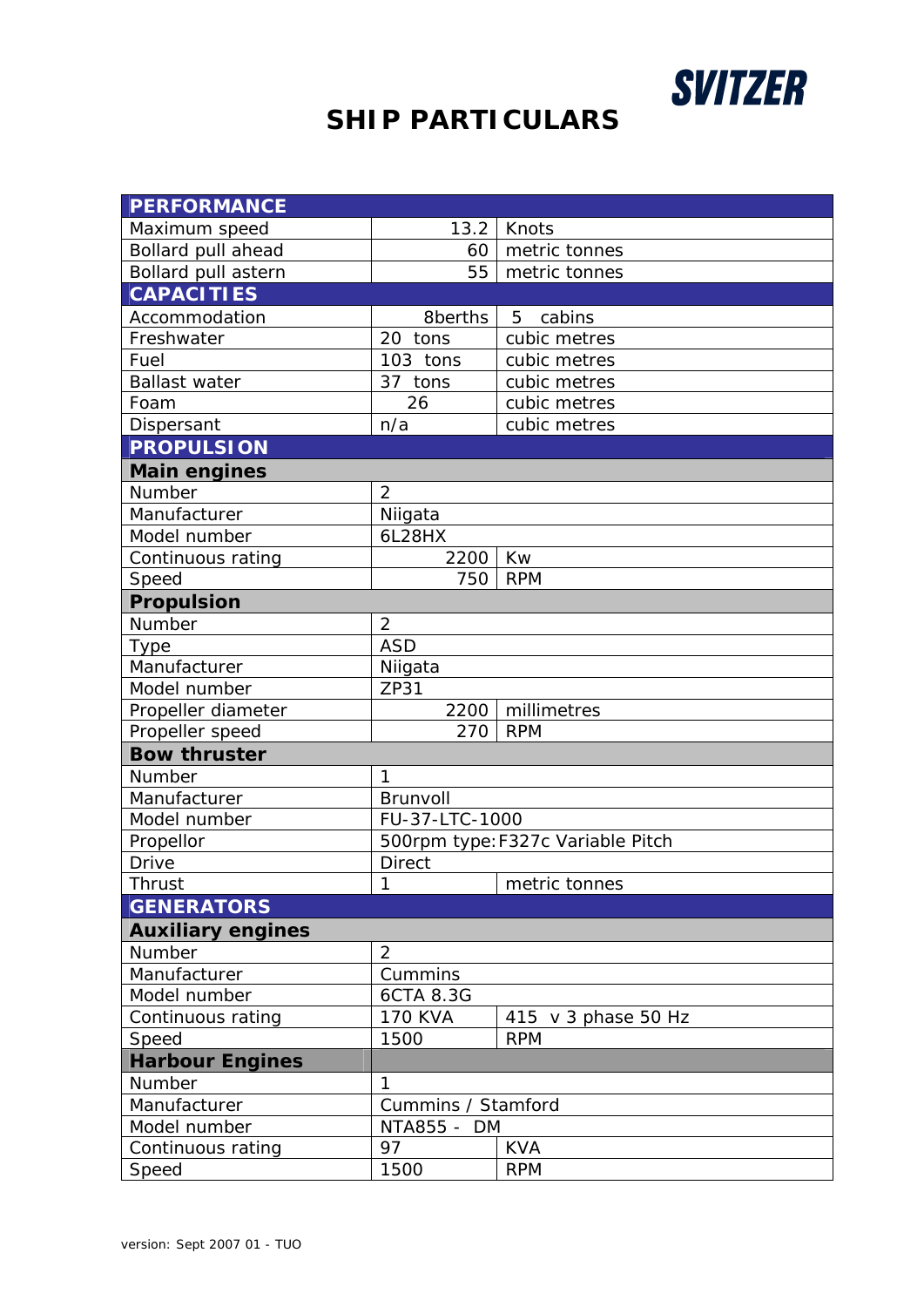

| <b>PERFORMANCE</b>       |                                   |                     |  |
|--------------------------|-----------------------------------|---------------------|--|
| Maximum speed            | 13.2                              | Knots               |  |
| Bollard pull ahead       | 60                                | metric tonnes       |  |
| Bollard pull astern      | 55                                | metric tonnes       |  |
| <b>CAPACITIES</b>        |                                   |                     |  |
| Accommodation            | 8berths                           | cabins<br>5         |  |
| Freshwater               | 20 tons                           | cubic metres        |  |
| Fuel                     | 103 tons                          | cubic metres        |  |
| <b>Ballast water</b>     | 37 tons                           | cubic metres        |  |
| Foam                     | 26                                | cubic metres        |  |
| Dispersant               | n/a                               | cubic metres        |  |
| <b>PROPULSION</b>        |                                   |                     |  |
| <b>Main engines</b>      |                                   |                     |  |
| Number                   | $\overline{2}$                    |                     |  |
| Manufacturer             | Niigata                           |                     |  |
| Model number             | 6L28HX                            |                     |  |
| Continuous rating        | 2200                              | Kw                  |  |
| Speed                    | 750                               | <b>RPM</b>          |  |
| <b>Propulsion</b>        |                                   |                     |  |
| Number                   | $\overline{2}$                    |                     |  |
| <b>Type</b>              | <b>ASD</b>                        |                     |  |
| Manufacturer             | Niigata                           |                     |  |
| Model number             | ZP31                              |                     |  |
| Propeller diameter       | 2200                              | millimetres         |  |
| Propeller speed          | 270                               | <b>RPM</b>          |  |
| <b>Bow thruster</b>      |                                   |                     |  |
| Number                   | 1                                 |                     |  |
| Manufacturer             | Brunvoll                          |                     |  |
| Model number             | FU-37-LTC-1000                    |                     |  |
| Propellor                | 500rpm type: F327c Variable Pitch |                     |  |
| Drive                    | <b>Direct</b>                     |                     |  |
| Thrust                   | 1                                 | metric tonnes       |  |
| <b>GENERATORS</b>        |                                   |                     |  |
| <b>Auxiliary engines</b> |                                   |                     |  |
| Number                   | $\overline{2}$                    |                     |  |
| Manufacturer             | Cummins                           |                     |  |
| Model number             | 6CTA 8.3G                         |                     |  |
| Continuous rating        | <b>170 KVA</b>                    | 415 v 3 phase 50 Hz |  |
| Speed                    | 1500                              | <b>RPM</b>          |  |
| <b>Harbour Engines</b>   |                                   |                     |  |
| Number                   | 1                                 |                     |  |
| Manufacturer             | Cummins / Stamford                |                     |  |
| Model number             | NTA855 -<br>DM                    |                     |  |
| Continuous rating        | 97                                | <b>KVA</b>          |  |
| Speed                    | 1500                              | <b>RPM</b>          |  |